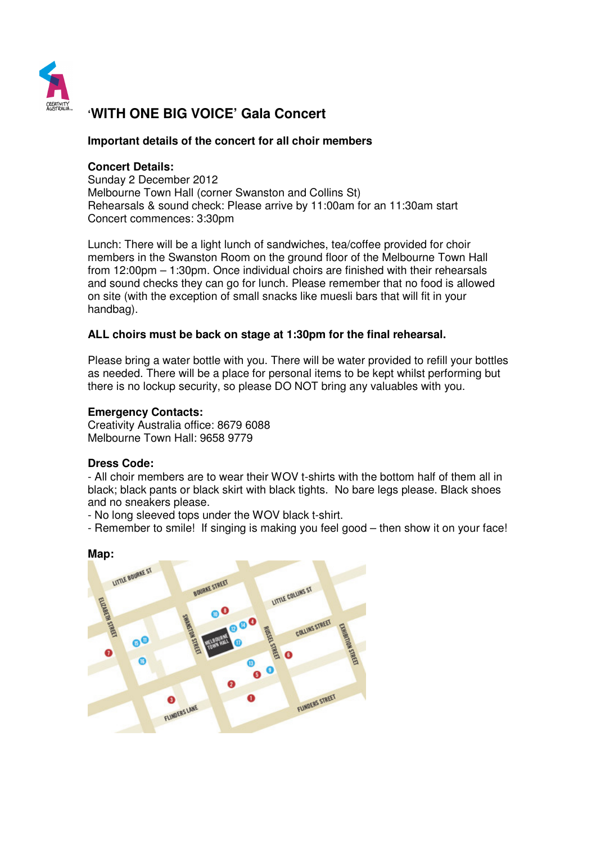

# **'WITH ONE BIG VOICE' Gala Concert**

## **Important details of the concert for all choir members**

## **Concert Details:**

Sunday 2 December 2012 Melbourne Town Hall (corner Swanston and Collins St) Rehearsals & sound check: Please arrive by 11:00am for an 11:30am start Concert commences: 3:30pm

Lunch: There will be a light lunch of sandwiches, tea/coffee provided for choir members in the Swanston Room on the ground floor of the Melbourne Town Hall from 12:00pm – 1:30pm. Once individual choirs are finished with their rehearsals and sound checks they can go for lunch. Please remember that no food is allowed on site (with the exception of small snacks like muesli bars that will fit in your handbag).

## **ALL choirs must be back on stage at 1:30pm for the final rehearsal.**

Please bring a water bottle with you. There will be water provided to refill your bottles as needed. There will be a place for personal items to be kept whilst performing but there is no lockup security, so please DO NOT bring any valuables with you.

## **Emergency Contacts:**

Creativity Australia office: 8679 6088 Melbourne Town Hall: 9658 9779

## **Dress Code:**

- All choir members are to wear their WOV t-shirts with the bottom half of them all in black; black pants or black skirt with black tights. No bare legs please. Black shoes and no sneakers please.

- No long sleeved tops under the WOV black t-shirt.
- Remember to smile! If singing is making you feel good then show it on your face!